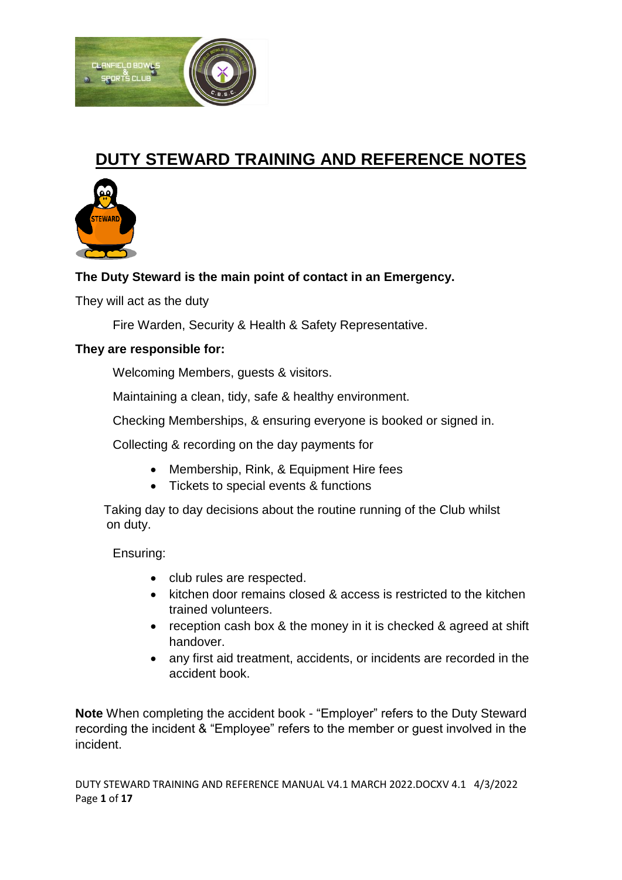

# **DUTY STEWARD TRAINING AND REFERENCE NOTES**



## **The Duty Steward is the main point of contact in an Emergency.**

They will act as the duty

Fire Warden, Security & Health & Safety Representative.

#### **They are responsible for:**

Welcoming Members, quests & visitors.

Maintaining a clean, tidy, safe & healthy environment.

Checking Memberships, & ensuring everyone is booked or signed in.

Collecting & recording on the day payments for

- Membership, Rink, & Equipment Hire fees
- Tickets to special events & functions

 Taking day to day decisions about the routine running of the Club whilst on duty.

Ensuring:

- club rules are respected.
- kitchen door remains closed & access is restricted to the kitchen trained volunteers.
- reception cash box & the money in it is checked & agreed at shift handover.
- any first aid treatment, accidents, or incidents are recorded in the accident book.

**Note** When completing the accident book - "Employer" refers to the Duty Steward recording the incident & "Employee" refers to the member or guest involved in the incident.

DUTY STEWARD TRAINING AND REFERENCE MANUAL V4.1 MARCH 2022.DOCXV 4.1 4/3/2022 Page **1** of **17**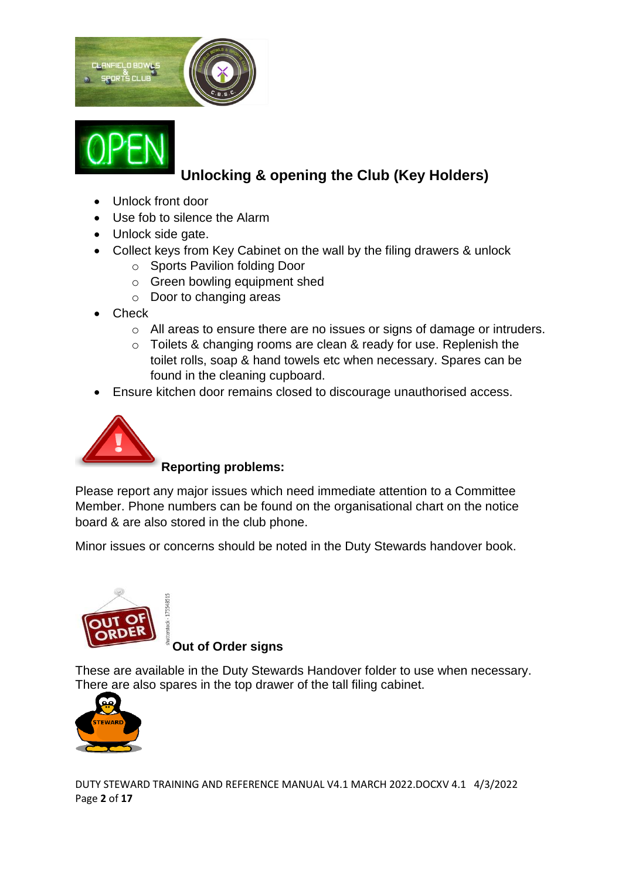



# **Unlocking & opening the Club (Key Holders)**

- Unlo[ck fro](https://creativecommons.org/licenses/by-sa/3.0/)nt door
- [•](https://creativecommons.org/licenses/by-sa/3.0/) Use fob to silence the Alarm
- Unlock side gate.
- Collect keys from Key Cabinet on the wall by the filing drawers & unlock
	- o Sports Pavilion folding Door
	- o Green bowling equipment shed
	- o Door to changing areas
- Check
	- o All areas to ensure there are no issues or signs of damage or intruders.
	- o Toilets & changing rooms are clean & ready for use. Replenish the toilet rolls, soap & hand towels etc when necessary. Spares can be found in the cleaning cupboard.
- Ensure kitchen door remains closed to discourage unauthorised access.



# **Reporting problems:**

Please report any major issues which need immediate attention to a Committee Member. Phone numbers can be found on the organisational chart on the notice board & are also stored in the club phone.

Minor issues or concerns should be noted in the Duty Stewards handover book.



**Out of Order signs**

These are available in the Duty Stewards Handover folder to use when necessary. There are also spares in the top drawer of the tall filing cabinet.



DUTY STEWARD TRAINING AND REFERENCE MANUAL V4.1 MARCH 2022.DOCXV 4.1 4/3/2022 Page **2** of **17**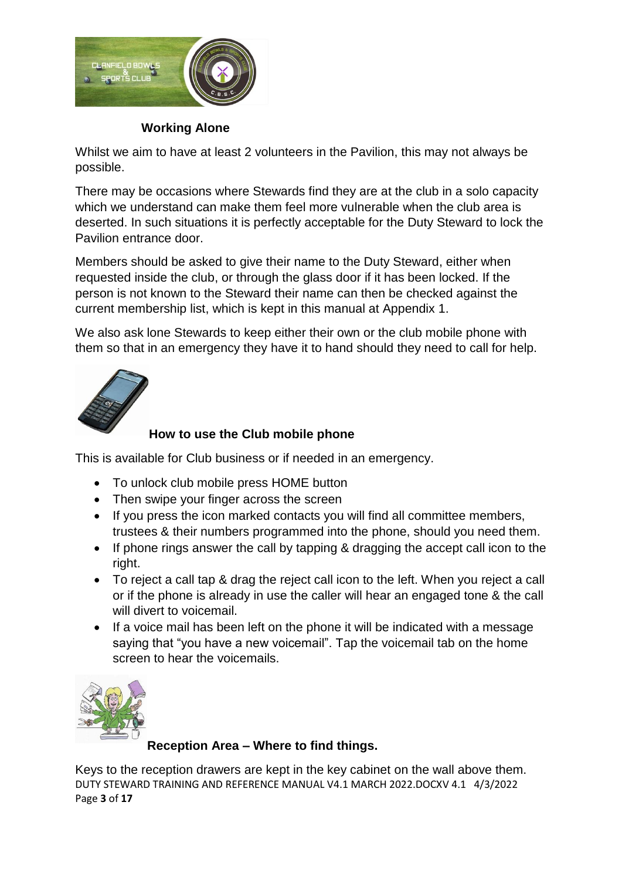

#### **Working Alone**

Whilst we aim to have at least 2 volunteers in the Pavilion, this may not always be possible.

There may be occasions where Stewards find they are at the club in a solo capacity which we understand can make them feel more vulnerable when the club area is deserted. In such situations it is perfectly acceptable for the Duty Steward to lock the Pavilion entrance door.

Members should be asked to give their name to the Duty Steward, either when requested inside the club, or through the glass door if it has been locked. If the person is not known to the Steward their name can then be checked against the current membership list, which is kept in this manual at Appendix 1.

We also ask lone Stewards to keep either their own or the club mobile phone with them so that in an emergency they have it to hand should they need to call for help.



#### **How to use the Club mobile phone**

This is available for Club business or if needed in an emergency.

- To unlock club mobile press HOME button
- [The](https://creativecommons.org/licenses/by-nc-sa/3.0/)n swipe your finger across the screen
- If you press the icon marked contacts you will find all committee members, trustees & their numbers programmed into the phone, should you need them.
- If phone rings answer the call by tapping & dragging the accept call icon to the right.
- To reject a call tap & drag the reject call icon to the left. When you reject a call or if the phone is already in use the caller will hear an engaged tone & the call will divert to voicemail.
- If a voice mail has been left on the phone it will be indicated with a message saying that "you have a new voicemail". Tap the voicemail tab on the home screen to hear the voicemails.



#### **Reception Area – Where to find things.**

DUTY STEWARD TRAINING AND REFERENCE MANUAL V4.1 MARCH 2022.DOCXV 4.1 4/3/2022 Page **3** of **17** Keys to the reception drawers are kept in the key cabinet on the wall above them.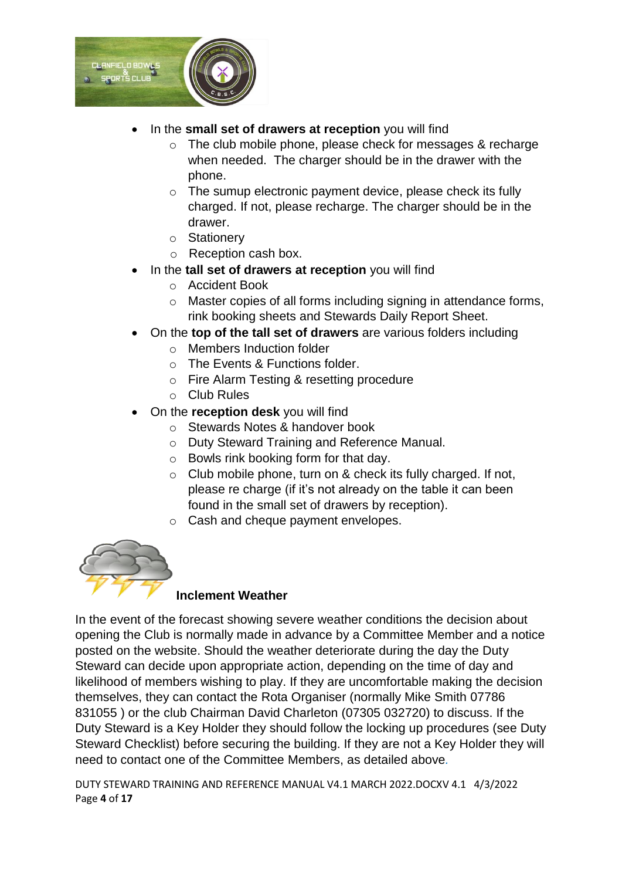

- In the **small set of drawers at reception** you will find
	- o The club mobile phone, please check for messages & recharge when needed. The charger should be in the drawer with the phone.
	- o The sumup electronic payment device, please check its fully charged. If not, please recharge. The charger should be in the drawer.
	- o Stationery
	- o Reception cash box.
- In the **tall set of drawers at reception** you will find
	- o Accident Book
	- o Master copies of all forms including signing in attendance forms, rink booking sheets and Stewards Daily Report Sheet.
- On the **top of the tall set of drawers** are various folders including
	- o Members Induction folder
	- o The Events & Functions folder.
	- o Fire Alarm Testing & resetting procedure
	- o Club Rules
- On the **reception desk** you will find
	- o Stewards Notes & handover book
	- o Duty Steward Training and Reference Manual.
	- o Bowls rink booking form for that day.
	- o Club mobile phone, turn on & check its fully charged. If not, please re charge (if it's not already on the table it can been found in the small set of drawers by reception).
	- o Cash and cheque payment envelopes.



#### **Inclement Weather**

In the event of the forecast showing severe weather conditions the decision about opening the Club is normally made in advance by a Committee Member and a notice posted on the website. Should the weather deteriorate during the day the Duty Steward can decide upon appropriate action, depending on the time of day and likelihood of members wishing to play. If they are uncomfortable making the decision themselves, they can contact the Rota Organiser (normally Mike Smith 07786 831055 ) or the club Chairman David Charleton (07305 032720) to discuss. If the Duty Steward is a Key Holder they should follow the locking up procedures (see Duty Steward Checklist) before securing the building. If they are not a Key Holder they will need to contact one of the Committee Members, as detailed above*.*

DUTY STEWARD TRAINING AND REFERENCE MANUAL V4.1 MARCH 2022.DOCXV 4.1 4/3/2022 Page **4** of **17**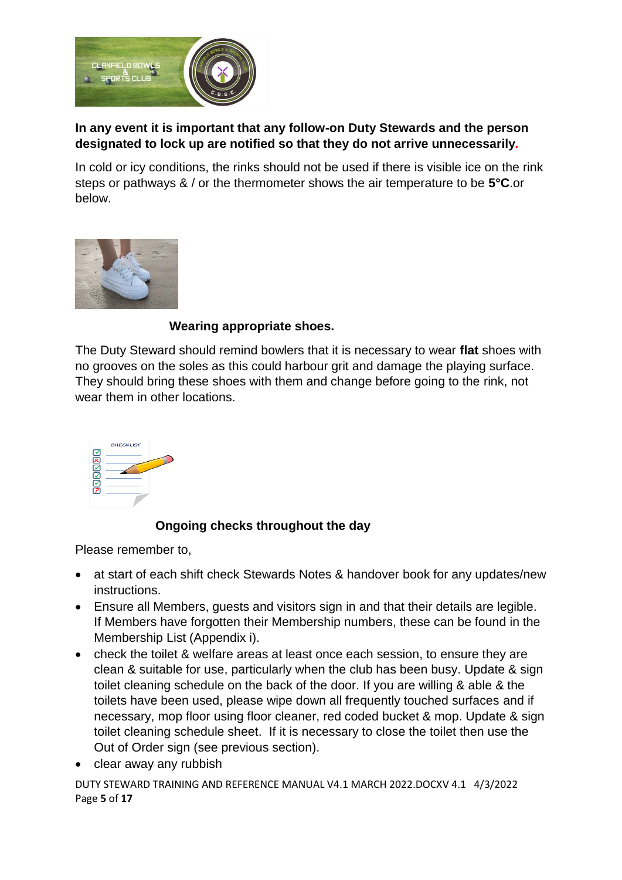

## **In any event it is important that any follow-on Duty Stewards and the person designated to lock up are notified so that they do not arrive unnecessarily***.*

In cold or icy conditions, the rinks should not be used if there is visible ice on the rink steps or pathways & / or the thermometer shows the air temperature to be **5°C**.or below.



#### **Wearing appropriate shoes.**

The Duty Steward should remind bowlers that it is necessary to wear **flat** shoes with no grooves on the soles as this could harbour grit and damage the playing surface. They should bring these shoes with them and change before going to the rink, not wear them in other locations.



# **Ongoing checks throughout the day**

Please remember to,

- at start of each shift check Stewards Notes & handover book for any updates/new instructions.
- Ensure all Members, guests and visitors sign in and that their details are legible. If Members have forgotten their Membership numbers, these can be found in the Membership List (Appendix i).
- check the toilet & welfare areas at least once each session, to ensure they are clean & suitable for use, particularly when the club has been busy. Update & sign toilet cleaning schedule on the back of the door. If you are willing & able & the toilets have been used, please wipe down all frequently touched surfaces and if necessary, mop floor using floor cleaner, red coded bucket & mop. Update & sign toilet cleaning schedule sheet. If it is necessary to close the toilet then use the Out of Order sign (see previous section).
- clear away any rubbish

DUTY STEWARD TRAINING AND REFERENCE MANUAL V4.1 MARCH 2022.DOCXV 4.1 4/3/2022 Page **5** of **17**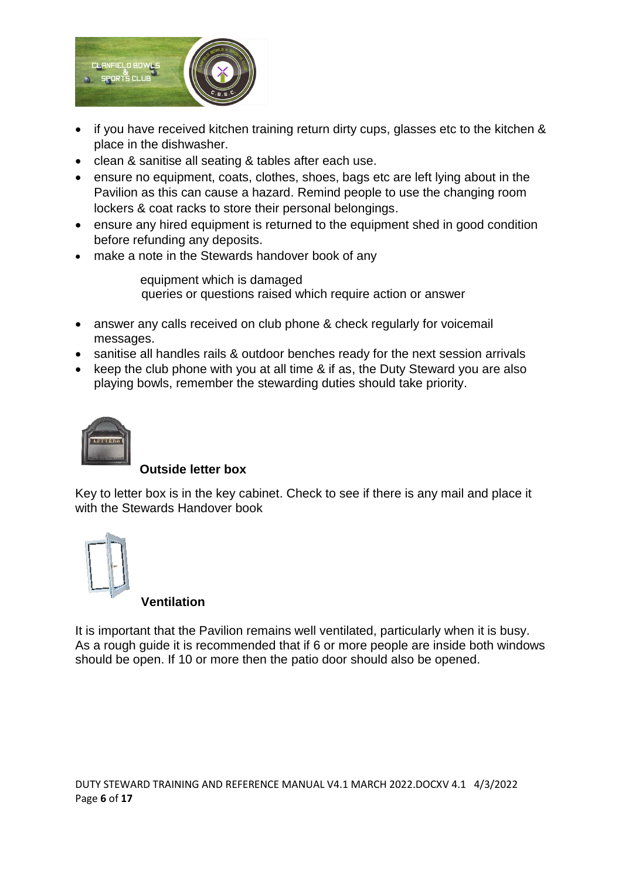

- if you have received kitchen training return dirty cups, glasses etc to the kitchen & place in the dishwasher.
- clean & sanitise all seating & tables after each use.
- ensure no equipment, coats, clothes, shoes, bags etc are left lying about in the Pavilion as this can cause a hazard. Remind people to use the changing room lockers & coat racks to store their personal belongings.
- ensure any hired equipment is returned to the equipment shed in good condition before refunding any deposits.
- make a note in the Stewards handover book of any

 equipment which is damaged queries or questions raised which require action or answer

- answer any calls received on club phone & check regularly for voicemail messages.
- sanitise all handles rails & outdoor benches ready for the next session arrivals
- keep the club phone with you at all time & if as, the Duty Steward you are also playing bowls, remember the stewarding duties should take priority.



#### **Outside letter box**

Key to letter box is in the key cabinet. Check to see if there is any mail and place it with the Stewards Handover book



**Ventilation**

It is important that the Pavilion remains well ventilated, particularly when it is busy. As a rough guide it is recommended that if 6 or more people are inside both windows shoul[d be o](https://creativecommons.org/licenses/by-nc/3.0/)pen. If 10 or more then the patio door should also be opened.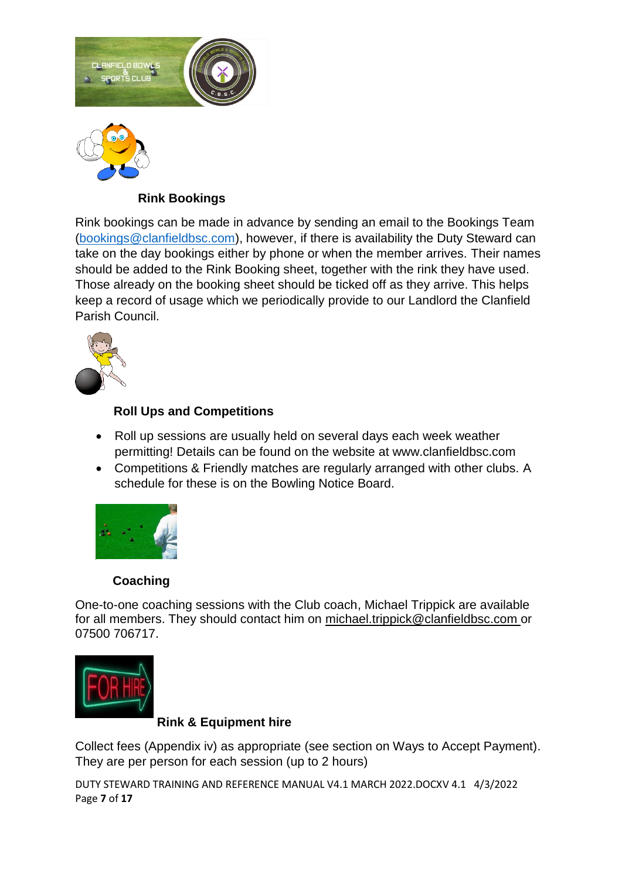



#### **Rink Bookings**

Rink bookings can be made in advance by sending an email to the Bookings Team [\(bookings@clanfieldbsc.com\)](mailto:bookings@clanfieldbsc.com), however, if there is availability the Duty Steward can take on the day bookings either by phone or when the member arrives. Their names should be added to the Rink Booking sheet, together with the rink they have used. Those already on the booking sheet should be ticked off as they arrive. This helps keep a record of usage which we periodically provide to our Landlord the Clanfield Parish Council.



#### **Roll Ups and Competitions**

- Roll up sessions are usually held on several days each week weather permitting! Details can be found on the website at www.clanfieldbsc.com
- Competitions & Friendly matches are regularly arranged with other clubs. A schedule for these is on the Bowling Notice Board.



# **[Coach](http://flickr.com/photos/duchamp/15290264)ing**

One[-to-on](https://creativecommons.org/licenses/by/3.0/)e coaching sessions with the Club coach, Michael Trippick are available for all members. They should contact him on [michael.trippick@clanfi](mailto:michael.trippick@clanfeild)eldbsc.com or 07500 706717.



#### **Rink & Equipment hire**

Collect fees (Appendix iv) as appropriate (see section on Ways to Accept Payment). They are per person for each session (up to 2 hours)

DUTY STEWARD TRAINING AND REFERENCE MANUAL V4.1 MARCH 2022.DOCXV 4.1 4/3/2022 Page **7** of **17**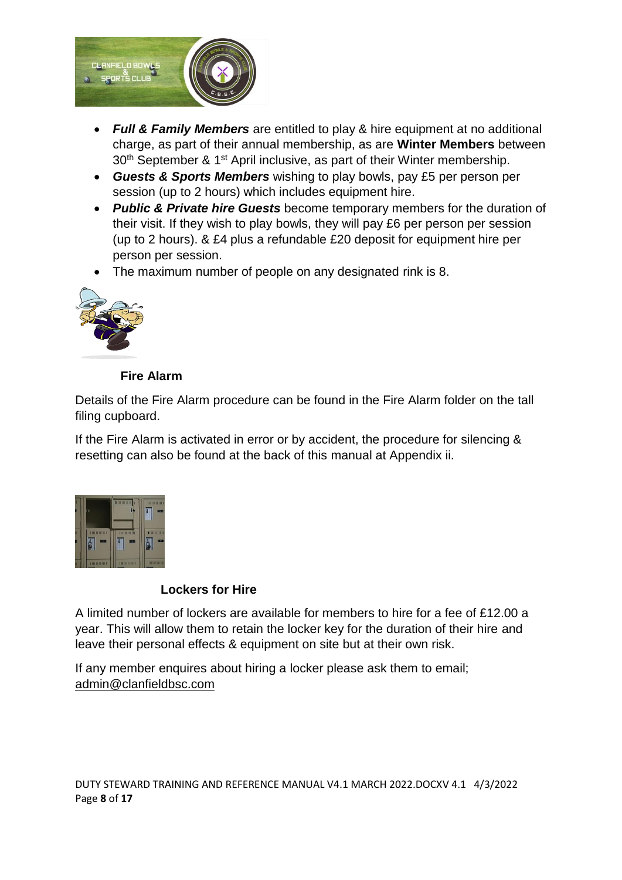

- *Full & Family Members* are entitled to play & hire equipment at no additional charge, as part of their annual membership, as are **Winter Members** between 30<sup>th</sup> September & 1<sup>st</sup> April inclusive, as part of their Winter membership.
- *Guests & Sports Members* wishing to play bowls, pay £5 per person per session (up to 2 hours) which includes equipment hire.
- *Public & Private hire Guests* become temporary members for the duration of their visit. If they wish to play bowls, they will pay £6 per person per session (up to 2 hours). & £4 plus a refundable £20 deposit for equipment hire per person per session.
- The maximum number of people on any designated rink is 8.



#### **Fire Alarm**

Details of the Fire Alarm procedure can be found in the Fire Alarm folder on the tall filing cupboard.

If the Fire Alarm is activated in error or by accident, the procedure for silencing & resetting can also be found at the back of this manual at Appendix ii.



#### **Lockers for Hire**

A [limit](https://creativecommons.org/licenses/by-sa/3.0/)ed n[umbe](https://creativecommons.org/licenses/by-sa/3.0/)r of lockers are available for members to hire for a fee of £12.00 a year. This will allow them to retain the locker key for the duration of their hire and leave their personal effects & equipment on site but at their own risk.

If any member enquires about hiring a locker please ask them to email; [admin@clanfieldbsc.com](mailto:admin@clanfieldbsc.com)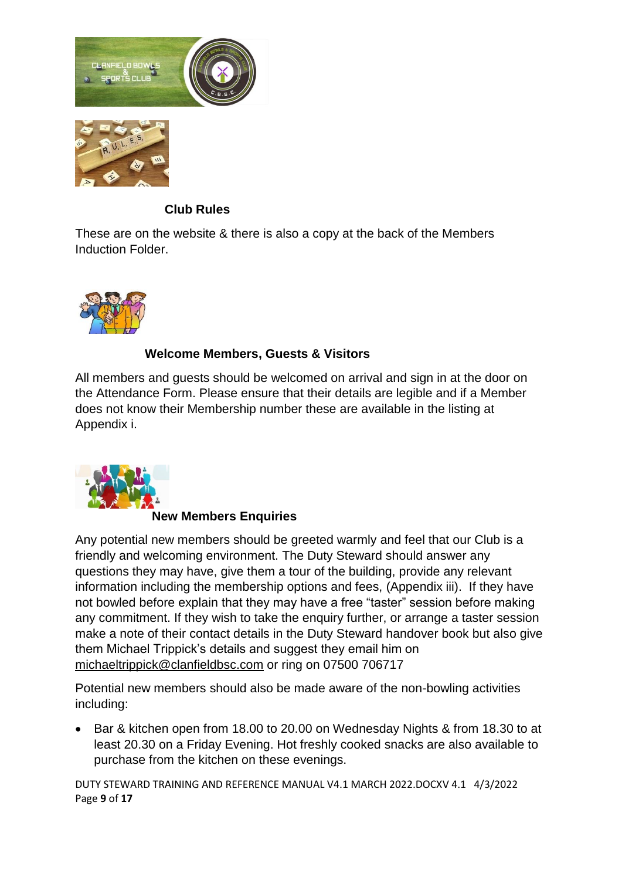



## **Club Rules**

[These](https://creativecommons.org/licenses/by-sa/3.0/) are on the website & there is also a copy at the back of the Members Induction Folder.



#### **Welcome Members, Guests & Visitors**

All members and guests should be welcomed on arrival and sign in at the door on the Attendance Form. Please ensure that their details are legible and if a Member does not know their Membership number these are available in the listing at Appendix i.



#### **New Members Enquiries**

Any potential new members should be greeted warmly and feel that our Club is a friendly and welcoming environment. The Duty Steward should answer any questions they may have, give them a tour of the building, provide any relevant information including the membership options and fees, (Appendix iii). If they have not bowled before explain that they may have a free "taster" session before making any commitment. If they wish to take the enquiry further, or arrange a taster session make a note of their contact details in the Duty Steward handover book but also give them Michael Trippick's details and suggest they email him on [michaeltrippick@clanfieldbsc.com](mailto:michaeltrippick@clanfieldbsc.com) or ring on 07500 706717

Potential new members should also be made aware of the non-bowling activities including:

• Bar & kitchen open from 18.00 to 20.00 on Wednesday Nights & from 18.30 to at least 20.30 on a Friday Evening. Hot freshly cooked snacks are also available to purchase from the kitchen on these evenings.

DUTY STEWARD TRAINING AND REFERENCE MANUAL V4.1 MARCH 2022.DOCXV 4.1 4/3/2022 Page **9** of **17**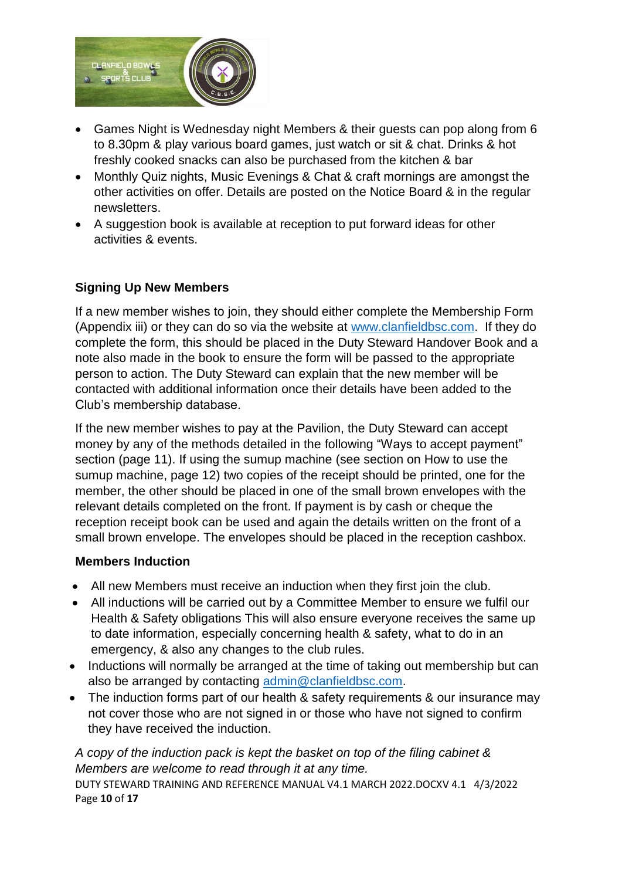

- Games Night is Wednesday night Members & their guests can pop along from 6 to 8.30pm & play various board games, just watch or sit & chat. Drinks & hot freshly cooked snacks can also be purchased from the kitchen & bar
- Monthly Quiz nights, Music Evenings & Chat & craft mornings are amongst the other activities on offer. Details are posted on the Notice Board & in the regular newsletters.
- A suggestion book is available at reception to put forward ideas for other activities & events.

#### **Signing Up New Members**

If a new member wishes to join, they should either complete the Membership Form (Appendix iii) or they can do so via the website at [www.clanfieldbsc.com.](http://www.clanfieldbsc.com/) If they do complete the form, this should be placed in the Duty Steward Handover Book and a note also made in the book to ensure the form will be passed to the appropriate person to action. The Duty Steward can explain that the new member will be contacted with additional information once their details have been added to the Club's membership database.

If the new member wishes to pay at the Pavilion, the Duty Steward can accept money by any of the methods detailed in the following "Ways to accept payment" section (page 11). If using the sumup machine (see section on How to use the sumup machine, page 12) two copies of the receipt should be printed, one for the member, the other should be placed in one of the small brown envelopes with the relevant details completed on the front. If payment is by cash or cheque the reception receipt book can be used and again the details written on the front of a small brown envelope. The envelopes should be placed in the reception cashbox.

#### **Members Induction**

- All new Members must receive an induction when they first join the club.
- All inductions will be carried out by a Committee Member to ensure we fulfil our Health & Safety obligations This will also ensure everyone receives the same up to date information, especially concerning health & safety, what to do in an emergency, & also any changes to the club rules.
- Inductions will normally be arranged at the time of taking out membership but can also be arranged by contacting [admin@clanfieldbsc.com.](mailto:admin@clanfieldbsc.com)
- The induction forms part of our health & safety requirements & our insurance may not cover those who are not signed in or those who have not signed to confirm they have received the induction.

*A copy of the induction pack is kept the basket on top of the filing cabinet & Members are welcome to read through it at any time.*

DUTY STEWARD TRAINING AND REFERENCE MANUAL V4.1 MARCH 2022.DOCXV 4.1 4/3/2022 Page **10** of **17**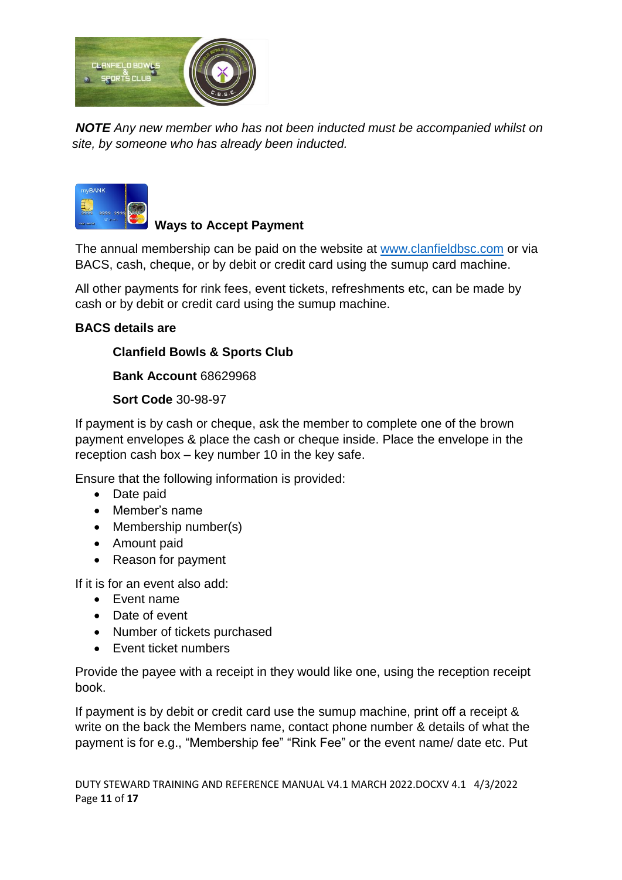

*NOTE Any new member who has not been inducted must be accompanied whilst on site, by someone who has already been inducted.*



## **Ways to Accept Payment**

The annual membership can be paid on the website at [www.clanfieldbsc.com](http://www.clanfieldbsc.com/) or via BACS, cash, cheque, or by debit or credit card using the sumup card machine.

All other payments for rink fees, event tickets, refreshments etc, can be made by cash or by debit or credit card using the sumup machine.

#### **BACS details are**

#### **Clanfield Bowls & Sports Club**

**Bank Account** 68629968

#### **Sort Code** 30-98-97

If payment is by cash or cheque, ask the member to complete one of the brown payment envelopes & place the cash or cheque inside. Place the envelope in the reception cash box – key number 10 in the key safe.

Ensure that the following information is provided:

- Date paid
- Member's name
- Membership number(s)
- Amount paid
- Reason for payment

If it is for an event also add:

- Event name
- Date of event
- Number of tickets purchased
- Event ticket numbers

Provide the payee with a receipt in they would like one, using the reception receipt book.

If payment is by debit or credit card use the sumup machine, print off a receipt & write on the back the Members name, contact phone number & details of what the payment is for e.g., "Membership fee" "Rink Fee" or the event name/ date etc. Put

DUTY STEWARD TRAINING AND REFERENCE MANUAL V4.1 MARCH 2022.DOCXV 4.1 4/3/2022 Page **11** of **17**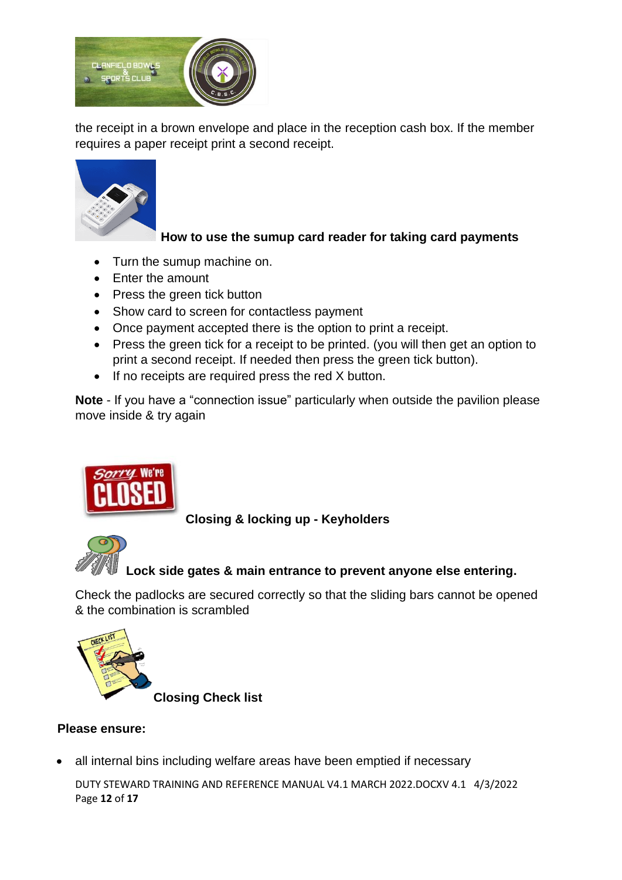

the receipt in a brown envelope and place in the reception cash box. If the member requires a paper receipt print a second receipt.



# **How to use the sumup card reader for taking card payments**

- Turn the sumup machine on.
- Enter the amount
- Press the green tick button
- Show card to screen for contactless payment
- Once payment accepted there is the option to print a receipt.
- Press the green tick for a receipt to be printed. (you will then get an option to print a second receipt. If needed then press the green tick button).
- If no receipts are required press the red X button.

**Note** - If you have a "connection issue" particularly when outside the pavilion please move inside & try again



**Closing & locking up - Keyholders**



**Lock side gates & main entrance to prevent anyone else entering.**

Check the padlocks are secured correctly so that the sliding bars cannot be opened & the combination is scrambled



**Closing Check list** 

#### **Please ensure:**

• all internal bins including welfare areas have been emptied if necessary

DUTY STEWARD TRAINING AND REFERENCE MANUAL V4.1 MARCH 2022.DOCXV 4.1 4/3/2022 Page **12** of **17**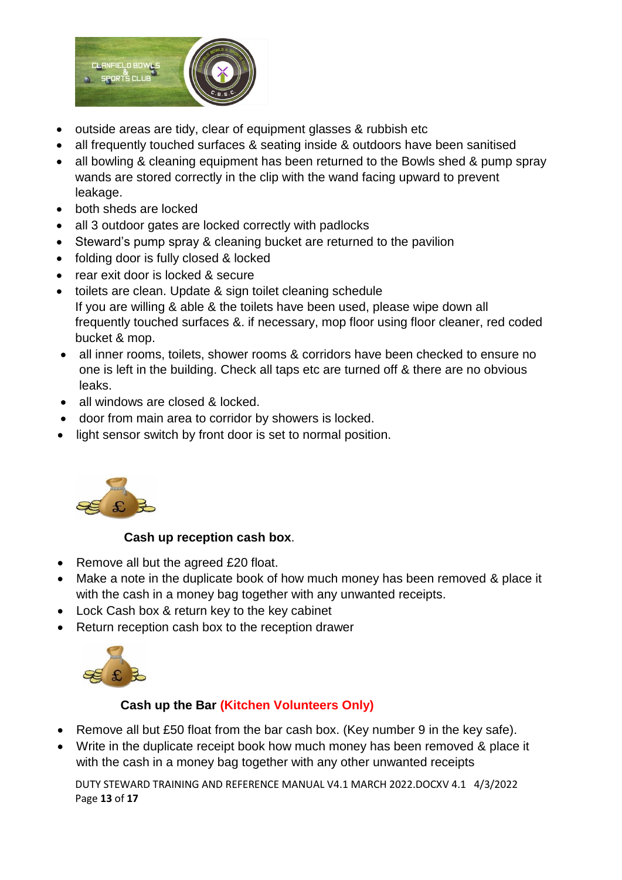

- outside areas are tidy, clear of equipment glasses & rubbish etc
- all frequently touched surfaces & seating inside & outdoors have been sanitised
- all bowling & cleaning equipment has been returned to the Bowls shed & pump spray wands are stored correctly in the clip with the wand facing upward to prevent leakage.
- both sheds are locked
- all 3 outdoor gates are locked correctly with padlocks
- Steward's pump spray & cleaning bucket are returned to the pavilion
- folding door is fully closed & locked
- rear exit door is locked & secure
- toilets are clean. Update & sign toilet cleaning schedule If you are willing & able & the toilets have been used, please wipe down all frequently touched surfaces &. if necessary, mop floor using floor cleaner, red coded bucket & mop.
- all inner rooms, toilets, shower rooms & corridors have been checked to ensure no one is left in the building. Check all taps etc are turned off & there are no obvious leaks.
- all windows are closed & locked.
- door from main area to corridor by showers is locked.
- light sensor switch by front door is set to normal position.



#### **Cash up reception cash box**.

- Remove all but the agreed £20 float.
- Make a note in the duplicate book of how much money has been removed & place it with the cash in a money bag together with any unwanted receipts.
- Lock Cash box & return key to the key cabinet
- Return reception cash box to the reception drawer



# **Cash up the Bar (Kitchen Volunteers Only)**

- Remove all but £50 float from the bar cash box. (Key number 9 in the key safe).
- Write in the duplicate receipt book how much money has been removed & place it with the cash in a money bag together with any other unwanted receipts

DUTY STEWARD TRAINING AND REFERENCE MANUAL V4.1 MARCH 2022.DOCXV 4.1 4/3/2022 Page **13** of **17**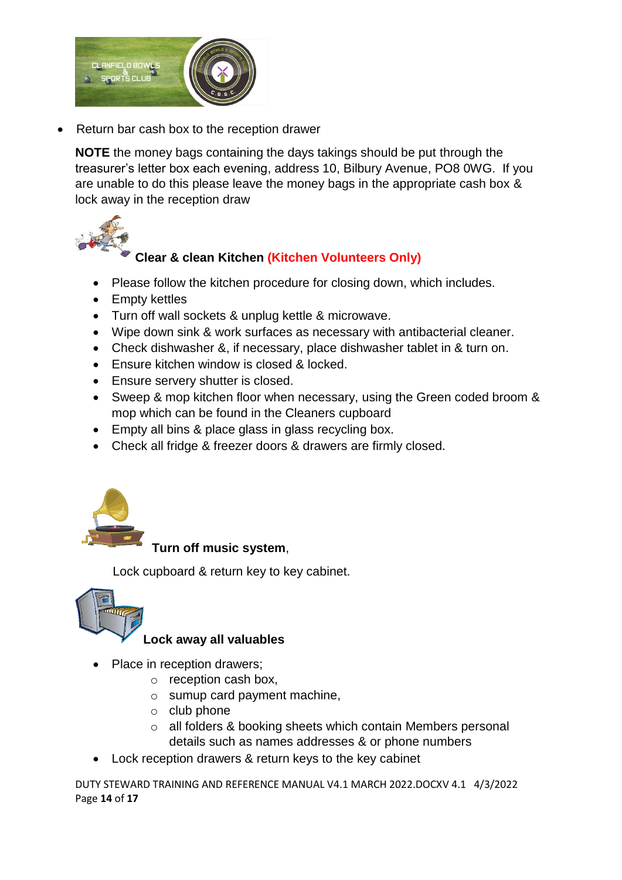

• Return bar cash box to the reception drawer

**NOTE** the money bags containing the days takings should be put through the treasurer's letter box each evening, address 10, Bilbury Avenue, PO8 0WG. If you are unable to do this please leave the money bags in the appropriate cash box & lock away in the reception draw



## **Clear & clean Kitchen (Kitchen Volunteers Only)**

- Please follow the kitchen procedure for closing down, which includes.
- Empty kettles
- Turn off wall sockets & unplug kettle & microwave.
- [Wi](https://creativecommons.org/licenses/by-nc-nd/3.0/)pe down sink & work surfaces as necessary with antibacterial cleaner.
- [Ch](https://creativecommons.org/licenses/by-nc-nd/3.0/)eck dishwasher &, if necessary, place dishwasher tablet in & turn on.
- Ensure kitchen window is closed & locked.
- Ensure servery shutter is closed.
- Sweep & mop kitchen floor when necessary, using the Green coded broom & mop which can be found in the Cleaners cupboard
- Empty all bins & place glass in glass recycling box.
- Check all fridge & freezer doors & drawers are firmly closed.



## **Turn off music system**,

Lock cupboard & return key to key cabinet.



# **Lock away all valuables**

- Place in reception drawers;
	- o reception cash box,
	- o sumup card payment machine,
	- o club phone
	- o all folders & booking sheets which contain Members personal details such as names addresses & or phone numbers
- Lock reception drawers & return keys to the key cabinet

DUTY STEWARD TRAINING AND REFERENCE MANUAL V4.1 MARCH 2022.DOCXV 4.1 4/3/2022 Page **14** of **17**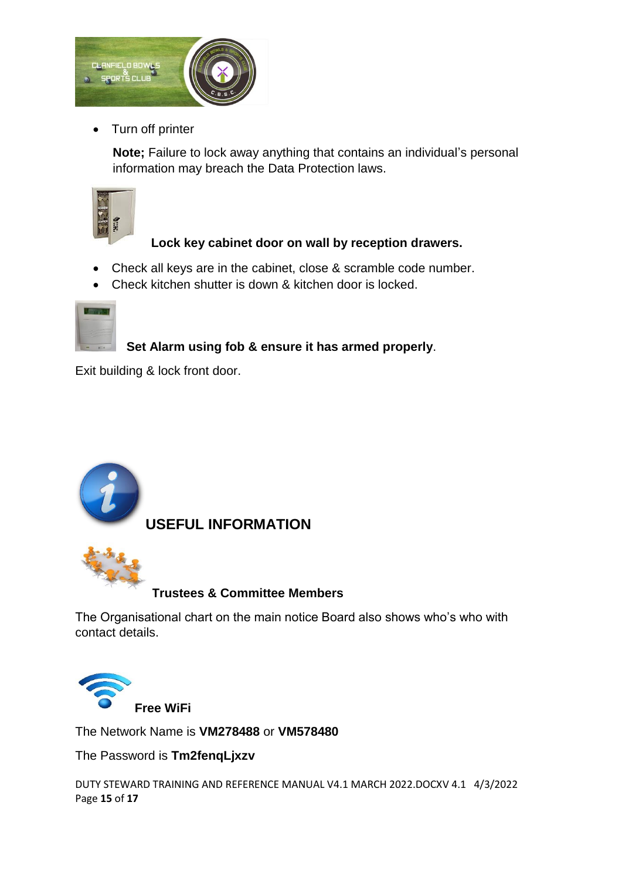

• Turn off printer

**Note;** Failure to lock away anything that contains an individual's personal information may breach the Data Protection laws.



## **Lock key cabinet door on wall by reception drawers.**

- Check all keys are in the cabinet, close & scramble code number.
- Check kitchen shutter is down & kitchen door is locked.

|  |   | -   |  |
|--|---|-----|--|
|  | - | . . |  |

**Set Alarm using fob & ensure it has armed properly**.

Exit building & lock front door.



**USEFUL INFORMATION**



**Trustees & Committee Members**

The Organisational chart on the main notice Board also shows who's who with contact details.



The Network Name is **VM278488** or **VM578480**

The Password is **Tm2fenqLjxzv**

DUTY [STEW](https://creativecommons.org/licenses/by-sa/3.0/)ARD TRAINING AND REFERENCE MANUAL V4.1 MARCH 2022.DOCXV 4.1 4/3/2022 [Page](https://creativecommons.org/licenses/by-sa/3.0/) **15** of **17**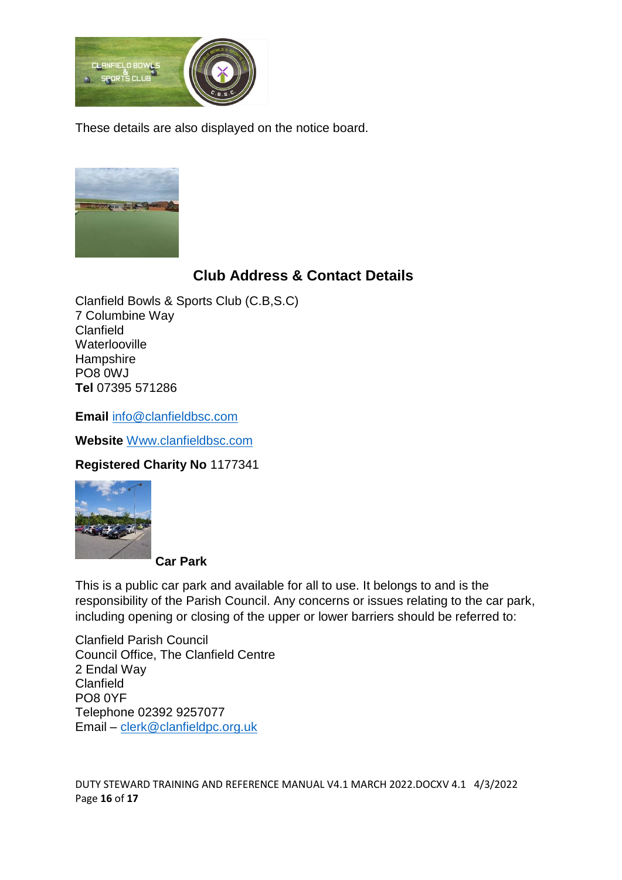

These details are also displayed on the notice board.



# **Club Address & Contact Details**

Clanfield Bowls & Sports Club (C.B,S.C) 7 Columbine Way Clanfield **Waterlooville** Hampshire PO8 0WJ **Tel** 07395 571286

**Email** [info@clanfieldbsc.com](mailto:info@clanfieldbsc.com)

**Website** [Www.clanfieldbsc.com](http://www.clanfieldbsc.com/)

**Registered Charity No** 1177341



**Car Park**

This is a public car park and available for all to use. It belongs to and is the responsibility of the Parish Council. Any concerns or issues relating to the car park, i[ncluding](https://creativecommons.org/licenses/by-sa/3.0/) opening or closing of the upper or lower barriers should be referred to:

Clanfield Parish Council Council Office, The Clanfield Centre 2 Endal Way Clanfield PO8 0YF Telephone 02392 9257077 Email – [clerk@clanfieldpc.org.uk](mailto:clerk@clanfieldpc.org.uk)

DUTY STEWARD TRAINING AND REFERENCE MANUAL V4.1 MARCH 2022.DOCXV 4.1 4/3/2022 Page **16** of **17**